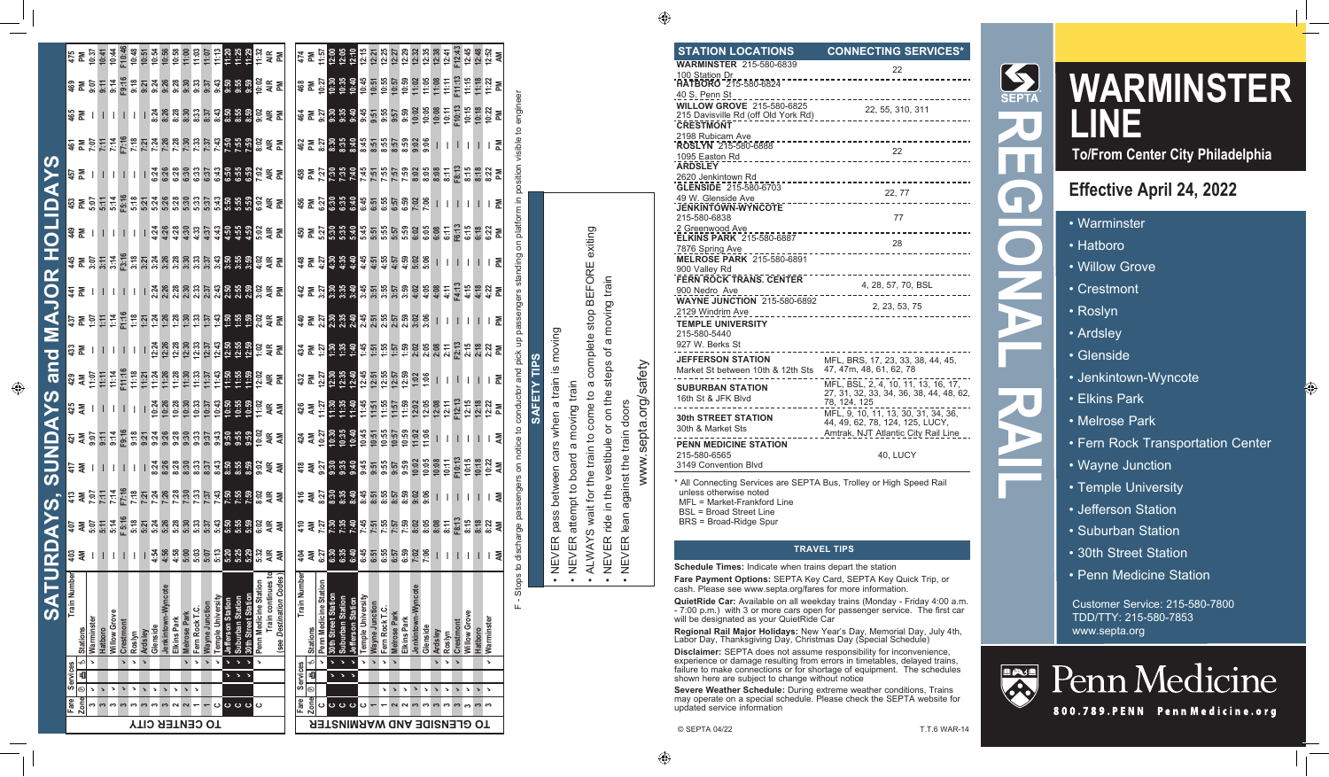#### **STATION LOCATIONS CONNECTING SERVICES\***

| <b>WARMINSTER 215-580-6839</b>                               | 22                                                                             |
|--------------------------------------------------------------|--------------------------------------------------------------------------------|
| 100 Station Dr                                               |                                                                                |
| <b>HATBORO</b> 215-580-6824                                  |                                                                                |
| <u>40 S. Penn St _</u>                                       |                                                                                |
| <b>WILLOW GROVE 215-580-6825</b>                             | 22, 55, 310, 311                                                               |
| 215 Davisville Rd (off Old York Rd)                          |                                                                                |
| <b>CRESTMONT</b>                                             |                                                                                |
| 2198 Rubicam Ave                                             | ---------------------------------                                              |
| <b>ROSLYN</b> 215-580-6888                                   | 22                                                                             |
| 1095 Easton Rd<br><b>ARDSLEY</b>                             | _______________________                                                        |
| 2620 Jenkintown Rd                                           |                                                                                |
| GLENSIDE 215-580-6703                                        | 22, 77                                                                         |
| 49 W. Glenside Ave                                           | -----------------------------------                                            |
| <b>JENKINTOWN WYNCOTE</b>                                    |                                                                                |
| 215-580-6838                                                 | 77                                                                             |
| <u>.2 Greenwood Ave .</u><br><b>ELKINS PARK 215-580-6887</b> |                                                                                |
|                                                              | 28                                                                             |
| 7876 Spring Ave<br><b>MELROSE PARK 215-580-6891</b>          |                                                                                |
| 900 Valley Rd                                                |                                                                                |
| FERN ROCK TRANS, CENTER                                      | -----------                                                                    |
| 900 Nedro Ave                                                | 4, 28, 57, 70, BSL                                                             |
| WAYNE JUNCTION 215-580-6892                                  |                                                                                |
| 2129 Windrim Ave                                             | 2, 23, 53, 75                                                                  |
| -------------<br><b>TEMPLE UNIVERSITY</b>                    |                                                                                |
| 215-580-5440                                                 |                                                                                |
| 927 W. Berks St                                              |                                                                                |
|                                                              |                                                                                |
| <b>JEFFERSON STATION</b>                                     | MFL, BRS, 17, 23, 33, 38, 44, 45,<br>47, 47m, 48, 61, 62, 78                   |
| Market St between 10th & 12th Sts                            |                                                                                |
| <b>SUBURBAN STATION</b>                                      | MFL, BSL, 2, 4, 10, 11, 13, 16, 17,<br>27, 31, 32, 33, 34, 36, 38, 44, 48, 62, |
| 16th St & JFK Blvd                                           | 78, 124, 125                                                                   |
|                                                              | MFL, 9, 10, 11, 13, 30, 31, 34, 36,                                            |
| <b>30th STREET STATION</b>                                   | 44, 49, 62, 78, 124, 125, LUCY,                                                |
| 30th & Market Sts                                            | Amtrak, NJT Atlantic City Rail Line                                            |
| <b>PENN MEDICINE STATION</b>                                 |                                                                                |
| 215-580-6565                                                 | 40, LUCY                                                                       |
| 3149 Convention Blvd                                         |                                                                                |

\* All Connecting Services are SEPTA Bus, Trolley or High Speed Rail unless otherwise noted MFL = Market-Frankford Line BSL = Broad Street Line BRS = Broad-Ridge Spur

#### **TRAVEL TIPS**

**Schedule Times:** Indicate when trains depart the station

**Fare Payment Options:** SEPTA Key Card, SEPTA Key Quick Trip, or cash. Please see www.septa.org/fares for more information.

**QuietRide Car:** Available on all weekday trains (Monday - Friday 4:00 a.m. - 7:00 p.m.) with 3 or more cars open for passenger service. The first car will be designated as your QuietRide Car

**Regional Rail Major Holidays:** New Year's Day, Memorial Day, July 4th,<br>Labor Day, Thanksgiving Day, Christmas Day (Special Schedule)

**Disclaimer:** SEPTA does not assume responsibility for inconvenience, experience or damage resulting from errors in timetables, delayed trains, failure to make connections or for shortage of equipment. The schedules shown here are subject to change without notice

**Severe Weather Schedule:** During extreme weather conditions, Trains may operate on a special schedule. Please check the SEPTA website for updated service information



# **WARMINSTER LINE**

**To/From Center City Philadelphia**

## **Effective April 24, 2022**

- Warminster
- Hatboro
- Willow Grove
- Crestmont
- Roslyn
- Ardsley
- Glenside
- Jenkintown-Wyncote
- Elkins Park
- Melrose Park
- Fern Rock Transportation Center
- Wayne Junction
- Temple University
- Jefferson Station
- Suburban Station
- 30th Street Station
- Penn Medicine Station

Customer Service: 215-580-7800 TDD/TTY: 215-580-7853 www.septa.org



Penn Medicine

800.789. PENN Penn Medicine.org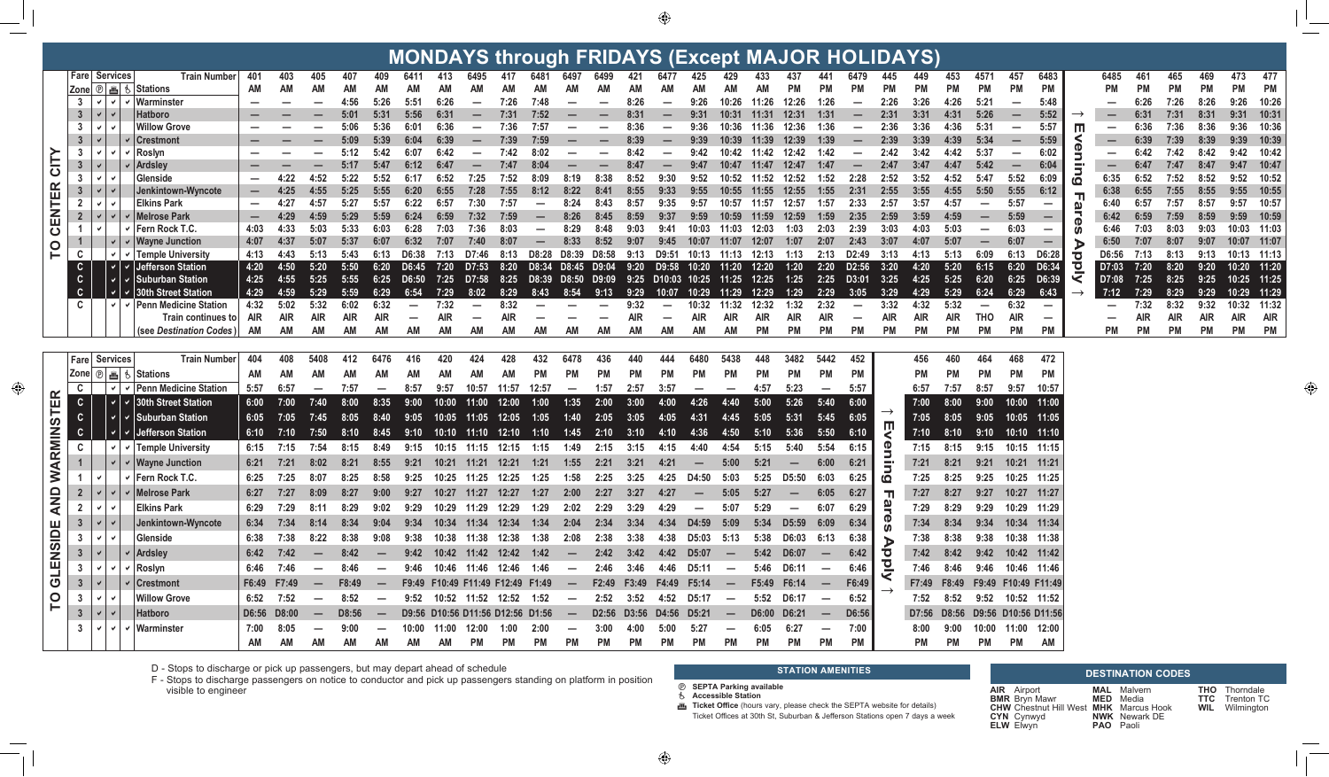**MONIDAVO 44 AL FRIRAVO /F. MAJOD HOLIDAVO** 

| MONDATS through FRIDATS (Except MAJOR HOLIDATS)<br><b>Fare Services</b> |                               |               |  |                                       |                              |               |                          |              |                          |                                                                          |                     |                                  |                        |                                 |                          |                   |           |                                                        |                          |                          |                |                                 |                                 |                                                                                            |               |                                 |                             |                                |                                  |                                 |                         |                          |              |              |              |                          |           |
|-------------------------------------------------------------------------|-------------------------------|---------------|--|---------------------------------------|------------------------------|---------------|--------------------------|--------------|--------------------------|--------------------------------------------------------------------------|---------------------|----------------------------------|------------------------|---------------------------------|--------------------------|-------------------|-----------|--------------------------------------------------------|--------------------------|--------------------------|----------------|---------------------------------|---------------------------------|--------------------------------------------------------------------------------------------|---------------|---------------------------------|-----------------------------|--------------------------------|----------------------------------|---------------------------------|-------------------------|--------------------------|--------------|--------------|--------------|--------------------------|-----------|
|                                                                         |                               |               |  | <b>Train Number</b>                   | 401                          | 403           | 405                      | 407          | 409                      | 6411                                                                     | 413                 | 6495                             | 417                    | 6481                            |                          |                   | 421       | 6477                                                   | 425                      |                          |                | 437                             |                                 | 6479                                                                                       |               |                                 | 453                         | 4571                           | 457                              | 6483                            |                         | 6485                     | 461          | 465          | 469          | 473                      | 477       |
|                                                                         |                               |               |  | Zone   ⑨   画   も   Stations           | АM                           | AM            | ΑM                       |              | AM                       |                                                                          |                     |                                  |                        |                                 |                          |                   |           | AM                                                     |                          |                          | АM             | <b>PM</b>                       |                                 | <b>PM</b>                                                                                  | <b>PM</b>     |                                 | РM                          | <b>PM</b>                      | <b>PM</b>                        | PM                              |                         |                          | PМ           | PM           | <b>PM</b>    | <b>PM</b>                | PM        |
|                                                                         |                               |               |  | $3 \mid v \mid v \mid v$   Warminster |                              |               |                          | 4:56         | 5:26                     | 5:51                                                                     | 6:26                | $\overline{\phantom{m}}$         | 7:26                   | 7:48                            |                          |                   | 8:26      | $\overline{\phantom{m}}$                               | 9:26                     | 10:26                    | 11:26          | 12:26                           | 1:26                            |                                                                                            | 2:26          | 3:26                            | 4:26                        | 5:21                           | $\overline{\phantom{m}}$         | 5:48                            |                         |                          | 6:26         | 7:26         | 8:26         | 9:26                     | 10:26     |
|                                                                         | 3 <sup>1</sup>                |               |  | <b>Hatboro</b>                        |                              |               |                          | 5:01         | 5:31                     | 5:56                                                                     | 6:31                | $\overline{\phantom{0}}$         | 7:31                   | 7:52                            |                          |                   | 8:31      | -                                                      | 9:31                     | 10:31                    | 11:31          | 12:31                           | 1:31                            |                                                                                            | 2:31          | 3:31                            | 4:31                        | 5:26                           | $\qquad \qquad -$                | 5:52                            |                         |                          | 6:31         | 7:31         | 8:31         | 9:31 10:31               |           |
|                                                                         | 3 <sup>1</sup>                |               |  | <b>Willow Grove</b>                   |                              |               |                          | 5:06         | 5:36                     | 6:01                                                                     | 6:36                |                                  | 7:36                   | 7:57                            |                          |                   | 8:36      | $\overline{\phantom{a}}$                               | 9:36                     | 10:36                    | 11:36          | 12:36                           | 1:36                            | $\hspace{0.1mm}-\hspace{0.1mm}$                                                            | 2:36          | 3:36                            | 4:36                        | 5:31                           | $\hspace{0.1mm}-\hspace{0.1mm}$  | 5:57                            | Ш                       | $\overline{\phantom{a}}$ | 6:36         | 7:36         | 8:36         | 9:36 10:36               |           |
| CITY                                                                    | 3 <sup>1</sup>                |               |  | <b>Crestmont</b>                      |                              |               |                          | 5:09         | 5:39                     | 6:04                                                                     | 6:39                |                                  | 7:39                   | 7:59                            |                          |                   | 8:39      |                                                        | 9:39                     | 10:39                    | 11:39          | 12:39                           | 1:39                            |                                                                                            | 2:39          | 3:39                            | 4:39                        | 5:34                           | $\qquad \qquad \blacksquare$     | 5:59                            |                         |                          | 6:39         | 7:39         | 8:39         | 9:39 10:39               |           |
|                                                                         | $3^{\circ}$                   |               |  | <b>Roslyn</b>                         |                              |               |                          | 5:12         | 5:42                     | 6:07                                                                     | 6:42                | $\overline{\phantom{a}}$         | 7:42                   | 8:02                            |                          |                   |           | $\overline{\phantom{a}}$                               | 9:42                     | 10:42                    | 11:42          | 12:42                           | 1:42                            | $\overline{\phantom{0}}$                                                                   | 2:42          | 3:42                            | 4:42                        | 5:37                           | $\overline{\phantom{m}}$         | 6:02                            |                         | $\overline{\phantom{0}}$ | 6:42         | 7:42         | 8:42         | 9:42 10:42               |           |
|                                                                         | 3 <sup>2</sup><br>$3^{\circ}$ |               |  | <b>Ardsley</b><br>Glenside            |                              |               | 4:52                     | 5:17<br>5:22 | 5:47<br>5:52             | 6:12<br>6:17                                                             | 6:47                | $\overline{\phantom{0}}$<br>7:25 | 7:47<br>7:52           | 8:04                            | 8:19                     | 8:38              | 8:52      | 9:30                                                   | 9:47<br>9:52             | 10:47<br>10:52           | 11:47<br>11:52 | 12:47<br>12:52                  | 1:47<br>1:52                    | $\qquad \qquad \blacksquare$<br>2:28                                                       | 2:47<br>2:52  | 3:47<br>3:52                    | 4:47<br>4:52                | 5:42<br>5:47                   | $\overline{\phantom{m}}$<br>5:52 | 6:04<br>6:09                    |                         | 6:35                     | 6:47<br>6:52 | 7:47<br>7:52 | 8:47<br>8:52 | 9:47 10:47<br>9:52 10:52 |           |
|                                                                         | $3\phantom{.0}$               |               |  | Jenkintown-Wyncote                    | $\qquad \qquad \blacksquare$ | 4:25          | 4:55                     | 5:25         | 5:55                     | 6:20                                                                     | 6:55                | 7:28                             | 7:55                   | 8:12                            | 8:22                     | 8:41              | 8:55      | 9:33                                                   | 9:55                     |                          |                | 10:55 11:55 12:55               | 1:55                            | 2:31                                                                                       | 2:55          | 3:55                            | 4:55                        | 5:50                           | 5:55                             | 6:12                            | 10                      | 6:38                     | 6:55         | 7:55         | 8:55         | 9:55 10:55               |           |
| <b>ITER</b>                                                             | $\overline{2}$                |               |  | <b>Elkins Park</b>                    | $\overline{\phantom{m}}$     | 4:27          | 4:57                     | 5:27         | 5:57                     | 6:22                                                                     | 6:57                | 7:30                             | 7:57                   |                                 | 8:24                     | 8:43              | 8:57      | 9:35                                                   | 9:57                     | 10:57                    | 11:57          | 12:57                           | 1:57                            | 2:33                                                                                       | 2:57          | 3:57                            | 4:57                        | $\overline{\phantom{m}}$       | 5:57                             | $\overline{\phantom{m}}$        | W                       | 6:40                     | 6:57         | 7:57         | 8:57         | 9:57                     | 10:57     |
|                                                                         | $\overline{2}$                |               |  | <b>Melrose Park</b>                   |                              | 4:29          | 4:59                     | 5:29         | 5:59                     | 6:24                                                                     | 6:59                | 7:32                             | 7:59                   |                                 | 8:26                     | 8:45              | 8:59      | 9:37                                                   | 9:59                     | 10:59                    | 11:59          | 12:59                           | 1:59                            | 2:35                                                                                       | 2:59          | 3:59                            | 4:59                        | $\qquad \qquad \longleftarrow$ | 5:59                             | $\overline{\phantom{0}}$        |                         | 6:42.                    | 6:59         | 7:59         | 8:59         | 9:59 10:59               |           |
| <b>NEN</b>                                                              |                               |               |  | Fern Rock T.C.                        | 4:03                         | 4:33          | 5:03                     | 5:33         | 6:03                     | 6:28                                                                     | 7:03                |                                  | 8:03                   |                                 |                          | 8:48              | 9:03      | 9:41                                                   | 10:03                    | 11:03                    | 12:03          | 1:03                            | 2:03                            | 2:39                                                                                       | 3:03          | 4:03                            | 5:03                        |                                | 6:03                             | -                               |                         | 6:46                     | 7:03         | 8:03         | 9:03         | 10:03 11:03              |           |
|                                                                         |                               |               |  | <b>Wayne Junction</b>                 | 4:07                         | 4:37          | 5:07                     | 5:37         | 6:07                     | 6:32                                                                     | 7:07                | 7:40                             | 8:07                   |                                 | 8:33                     | 8:52              | 9:07      | 9:45                                                   |                          |                          |                | 1:07                            | 2:07                            | 2:43                                                                                       | 3:07          | 4:07                            | 5:07                        | $\qquad \qquad \longleftarrow$ | 6:07                             | $\overline{\phantom{0}}$        |                         | 6:50                     | 7:07         | 8:07         | 9:07         | 10:07 11:07              |           |
| O                                                                       |                               |               |  | <b>Temple University</b>              | 4:13                         | 4:43          | 5:13                     | 5:43         | 6:13                     | D6:38                                                                    | 7:13                | D7:46                            | 8:13                   | D8:28                           | D8:39                    | D8:58             | 9:13      | D9:51                                                  | 10:13 11:13              |                          | 12:13          | 1:13                            | 2:13                            | D2:49                                                                                      | 3:13          | 4:13                            | 5:13                        | 6:09                           | 6:13                             | D6:28                           | ਠ                       | D6:56                    | 7:13         | 8:13         | 9:13         | 10:13 11:13              |           |
|                                                                         | C.                            |               |  | √ Jefferson Station                   | 4:20                         | 4:50          | 5:20                     | 5:50         | 6:20                     | D6:45                                                                    | 7:20                | D7:53                            | 8:20                   |                                 |                          | D8:34 D8:45 D9:04 |           | 9:20 D9:58 10:20 11:20                                 |                          |                          | 12:20          | 1:20                            | 2:20                            | D2:56                                                                                      | 3:20          | 4:20                            | 5:20                        | 6:15                           | 6:20                             | D6:34                           | $\overline{\mathbf{o}}$ | D7:03                    | 7:20         | 8:20         | 9:20         | 10:20 11:20              |           |
|                                                                         | $\overline{c}$                |               |  | <b>Suburban Station</b>               | 4:25                         | 4:55          | 5:25                     | 5:55         | 6:25                     | D6:50                                                                    | 7:25                | D7:58                            | 8:25                   |                                 |                          |                   |           | D8:39 D8:50 D9:09 9:25 D10:03 10:25 11:25 12:25        |                          |                          |                | 1:25                            | 2:25                            | D3:01                                                                                      | 3:25          | 4:25                            | 5:25                        | 6:20                           | 6:25                             | D6:39                           | ≺                       | D7:08                    | 7:25         | 8:25         | 9:25         | 10:25 11:25              |           |
|                                                                         |                               |               |  | <b>30th Street Station</b>            | 4:29                         | 4:59          | 5:29                     | 5:59         | 6:29                     | 6:54                                                                     | 7:29                | 8:02                             | 8:29                   | 8:43                            | 8:54                     | 9:13              | 9:29      | 10:07                                                  | 10:29                    | 11:29                    | 12:29          | 1:29                            | 2:29                            | 3:05                                                                                       | 3:29          | 4:29                            | 5:29                        | 6:24                           | 6:29                             | 6:43                            | $\rightarrow$           | 7:12                     | 7:29         | 8:29         | 9:29         | $10:29$ $11:29$          |           |
|                                                                         |                               |               |  | $\vee$ $\vee$   Penn Medicine Station | 4:32                         | 5:02          | 5:32                     | 6:02         | 6:32                     |                                                                          | 7:32                |                                  | 8:32                   |                                 |                          |                   | 9:32      |                                                        | 10:32                    | 11:32                    | 12:32          | 1:32                            | 2:32                            | $\hspace{0.1mm}-\hspace{0.1mm}$                                                            | 3:32          | 4:32                            | 5:32                        | $\overline{\phantom{a}}$       | 6:32                             | $\qquad \qquad \blacksquare$    |                         |                          | 7:32         | 8:32         | 9:32         | 10:32 11:32              |           |
|                                                                         |                               |               |  | Train continues to                    | <b>AIR</b>                   | AIR           | <b>AIR</b>               | <b>AIR</b>   | AIR                      | $\equiv$                                                                 | AIR                 |                                  |                        |                                 |                          |                   | AIR       |                                                        | <b>AIR</b>               | <b>AIR</b>               | <b>AIR</b>     | <b>AIR</b>                      | AIR                             |                                                                                            | <b>AIR</b>    | <b>AIR</b>                      | <b>AIR</b>                  | <b>THO</b>                     | <b>AIR</b>                       | $\qquad \qquad \blacksquare$    |                         |                          | AIR          | <b>AIR</b>   | <b>AIR</b>   | <b>AIR</b>               | AIR       |
|                                                                         |                               |               |  | (see Destination Codes)               | AM                           | AM            | AM                       | AM           | AM                       | <b>AM</b>                                                                | AM                  | AM                               | AM                     | AM                              | AM                       | <b>AM</b>         | AM        | AM                                                     | AM                       | <b>AM</b>                | <b>PM</b>      | PM                              | <b>PM</b>                       | PM                                                                                         | <b>PM</b>     | PM                              | PM                          | PM                             | PM                               | PM                              |                         | <b>PM</b>                | PM           | <b>PM</b>    | <b>PM</b>    | <b>PM</b>                | <b>PM</b> |
|                                                                         |                               |               |  |                                       |                              |               |                          |              |                          |                                                                          |                     |                                  |                        |                                 |                          |                   |           |                                                        |                          |                          |                |                                 |                                 |                                                                                            |               |                                 |                             |                                |                                  |                                 |                         |                          |              |              |              |                          |           |
|                                                                         | Fare Services                 |               |  | <b>Train Number</b>                   | 404                          | 408           | 5408                     | 412          | 6476                     | 416                                                                      | 420                 |                                  |                        |                                 |                          |                   |           |                                                        | 6480                     | 5438                     | 448            | 3482                            | 5442                            | 452                                                                                        |               | 456                             |                             | 464                            | 468                              | 472                             |                         |                          |              |              |              |                          |           |
|                                                                         | <b>Zone</b>                   |               |  | <b><sup>®</sup> 画 も Stations</b>      | AM                           | AM            |                          |              |                          |                                                                          |                     | AM                               |                        | <b>PM</b>                       | <b>PM</b>                | <b>PM</b>         | <b>PM</b> | PM                                                     | <b>PM</b>                | <b>PM</b>                | <b>PM</b>      | <b>PM</b>                       | <b>PM</b>                       | PM                                                                                         |               |                                 | PM                          | <b>PM</b>                      | PM                               | PM                              |                         |                          |              |              |              |                          |           |
|                                                                         | C                             |               |  | V Penn Medicine Station               | 5:57                         | 6:57          |                          | 7:57         | -                        | 8:57                                                                     | 9:57                | 10:57                            | 11:57                  | 12:57                           | $\overline{\phantom{0}}$ | 1:57              | 2:57      |                                                        |                          |                          | 4:57           | 5:23                            | $\hspace{0.1mm}-\hspace{0.1mm}$ | 5:57                                                                                       |               | 6:57                            | 7:57                        | 8:57                           | 9:57                             | 10:57                           |                         |                          |              |              |              |                          |           |
| <b>ISTER</b>                                                            | C.                            |               |  | <b>30th Street Station</b>            | 6:00                         | 7:00          | 7:40                     | 8:00         | 8:35                     | 9:00                                                                     |                     | 10:00 11:00                      | 12:00                  | 1:00                            | 1:35                     | 2:00              | 3:00      | 4:00                                                   | 4:26                     | 4:40                     | 5:00           | 5:26                            | 5:40 6:00                       |                                                                                            |               | 7:00                            | 8:00                        | 9:00 10:00 11:00               |                                  |                                 |                         |                          |              |              |              |                          |           |
|                                                                         | $\mathbf{C}$                  |               |  | <b>Suburban Station</b>               | 6:05                         | 7:05          | 7:45                     | 8:05         | 8:40                     | 9:05                                                                     | 10:05  11:05  12:05 |                                  |                        | 1:05                            | 1:40                     | 2:05              | 3:05      | 4:05                                                   | 4:31                     | 4:45                     | 5:05           | 5:31                            |                                 | $5:45$ 6:05                                                                                |               |                                 | 7:05 8:05 9:05 10:05 11:05  |                                |                                  |                                 |                         |                          |              |              |              |                          |           |
|                                                                         | $\mathbf{C}$                  |               |  | <b>Jefferson Station</b>              | 6:10                         | 7:10          | 7:50                     | 8:10         | 8:45                     | 9:10                                                                     | 10:10 11:10 12:10   |                                  |                        | 1:10                            | 1:45                     | 2:10              | 3:10      | 4:10                                                   | 4:36                     | 4:50                     | 5:10           | 5:36                            |                                 | $5:50$ 6:10                                                                                |               |                                 | 7:10 8:10 9:10 10:10 11:10  |                                |                                  |                                 |                         |                          |              |              |              |                          |           |
| WARMIN                                                                  | C                             |               |  | <b>Temple University</b>              | 6:15                         | 7:15          | 7:54                     | 8:15         | 8:49                     | 9:15                                                                     |                     |                                  | 10:15 11:15 12:15 1:15 |                                 | 1:49                     | 2:15              | 3:15      | 4:15                                                   | 4:40                     | 4:54                     | 5:15           | 5:40                            | 5:54                            | 6:15                                                                                       | <b>P</b>      |                                 | 7:15 8:15 9:15 10:15 11:15  |                                |                                  |                                 |                         |                          |              |              |              |                          |           |
|                                                                         | $\mathbf{1}$                  |               |  | $\vee$ Wayne Junction                 | 6:21                         | 7:21          | 8:02                     | 8:21         | 8:55                     | 9:21                                                                     | 10:21  11:21  12:21 |                                  |                        | 1:21                            | 1:55                     | 2:21              | 3:21      | 4:21                                                   | $\qquad \qquad -$        | 5:00                     | 5:21           | $\overline{\phantom{a}}$        | 6:00                            | 6:21                                                                                       |               | 7:21                            | 8:21                        |                                | 9:21 10:21 11:21                 |                                 |                         |                          |              |              |              |                          |           |
|                                                                         |                               |               |  | Fern Rock T.C.                        | 6:25                         | 7:25          | 8:07                     | 8:25         | 8:58                     | 9:25                                                                     |                     |                                  |                        | 1:25                            | 1:58                     | 2:25              | 3:25      | 4:25                                                   | <b>D4:50</b>             | 5:03                     | 5:25           | D5:50                           | 6:03                            | 6:25                                                                                       |               | 7:25                            | 8:25                        |                                | 9:25 10:25 11:25                 |                                 |                         |                          |              |              |              |                          |           |
|                                                                         |                               |               |  |                                       |                              |               |                          |              |                          |                                                                          |                     |                                  |                        |                                 |                          |                   |           |                                                        |                          |                          |                |                                 |                                 |                                                                                            | <u>(ဂ</u>     |                                 |                             |                                |                                  |                                 |                         |                          |              |              |              |                          |           |
| <b>AND</b>                                                              | $\overline{2}$                |               |  | <b>Melrose Park</b>                   | 6:27                         | 7:27          | 8:09                     | 8:27         | 9:00                     | 9:27                                                                     |                     |                                  |                        | 1:27                            | 2:00                     | 2:27              | 3:27      | 4:27                                                   | $\overline{\phantom{0}}$ | 5:05                     | 5:27           | $\hspace{0.1mm}-\hspace{0.1mm}$ | 6:05                            | 6:27                                                                                       | <b>u</b>      | 7:27                            | 8:27                        |                                | 9:27 10:27 11:27                 |                                 |                         |                          |              |              |              |                          |           |
|                                                                         | $\overline{2}$                |               |  | <b>Elkins Park</b>                    | 6:29                         | 7:29          | 8:11                     | 8:29         | 9:02                     | 9:29                                                                     | 10:29               | 11:29                            | 12:29                  | 1:29                            | 2:02                     | 2:29              | 3:29      | 4:29                                                   | $\overline{\phantom{0}}$ | 5:07                     | 5:29           | $\overline{\phantom{a}}$        | 6:07                            | 6:29                                                                                       |               | 7:29                            | 8:29                        | 9:29                           | 10:29 11:29                      |                                 |                         |                          |              |              |              |                          |           |
|                                                                         | 3 <sup>7</sup>                |               |  | Jenkintown-Wyncote                    | 6:34                         | 7:34          | 8:14                     | 8:34         | 9:04                     | 9:34                                                                     |                     |                                  | 10:34 11:34 12:34 1:34 |                                 | 2:04                     | 2:34              | 3:34      | 4:34                                                   | D4:59                    | 5:09                     | 5:34           | D5:59 6:09                      |                                 | 6:34                                                                                       |               | 7:34                            | 8:34                        |                                | 9:34 10:34 11:34                 |                                 |                         |                          |              |              |              |                          |           |
|                                                                         | $3\overline{3}$               | $\vee$ $\vee$ |  | Glenside                              | 6:38                         | 7:38          | 8:22                     | 8:38         | 9:08                     | 9:38                                                                     |                     |                                  |                        | 10:38  11:38  12:38  1:38  2:08 |                          | 2:38              | 3:38      |                                                        |                          |                          |                | 4:38 D5:03 5:13 5:38 D6:03 6:13 |                                 | 6:38                                                                                       |               | 7:38                            | 8:38                        |                                |                                  |                                 |                         |                          |              |              |              |                          |           |
|                                                                         | $3 \mid \vee \mid$            |               |  | $\vert \vee \vert$ Ardsley            |                              | $6:42$ $7:42$ | $\overline{\phantom{0}}$ | 8:42         | $\sim$ $\sim$            |                                                                          |                     |                                  |                        |                                 |                          |                   |           |                                                        |                          |                          |                |                                 |                                 | 9:42 10:42 11:42 12:42 1:42 - 2:42 3:42 4:42 D5:07 - 5:42 D6:07 - 6:42 0                   |               |                                 |                             |                                |                                  |                                 |                         |                          |              |              |              |                          |           |
|                                                                         |                               |               |  | $3 \mid v \mid v \mid v$ Roslyn       |                              | 6:46 7:46     |                          | 8:46         | $\overline{\phantom{0}}$ |                                                                          |                     |                                  |                        |                                 |                          |                   |           | $9:46$ 10:46 11:46 12:46 1:46 - 2:46 3:46 4:46 D5:11 - |                          |                          |                |                                 |                                 | $5:46$ D6:11 - 6:46                                                                        |               |                                 | 7:46 8:46 9:46 10:46 11:46  |                                |                                  |                                 |                         |                          |              |              |              |                          |           |
| <b>GLENSIDE</b>                                                         | $3   \mathsf{v}  $            |               |  | $\vert \vee \vert$ Crestmont          | F6:49 F7:49                  |               |                          |              |                          |                                                                          |                     |                                  |                        |                                 |                          |                   |           |                                                        |                          |                          |                |                                 |                                 | - F8:49 - F9:49 F10:49 F11:49 F12:49 F1:49 - F2:49 F3:49 F4:49 F5:14 - F5:49 F6:14 - F6:49 |               | F7:49 F8:49 F9:49 F10:49 F11:49 |                             |                                |                                  |                                 |                         |                          |              |              |              |                          |           |
|                                                                         | 3 <sup>1</sup>                | $\vee$ $\vee$ |  | <b>Willow Grove</b>                   | $6:52$ $7:52$                |               |                          |              |                          | 8:52 - 9:52 10:52 11:52 12:52 1:52 - 2:52 3:52 4:52 D5:17 - 5:52 D6:17 - |                     |                                  |                        |                                 |                          |                   |           |                                                        |                          |                          |                |                                 |                                 | 6:52                                                                                       | $\rightarrow$ |                                 | 7:52 8:52 9:52 10:52 11:52  |                                |                                  |                                 |                         |                          |              |              |              |                          |           |
| p                                                                       | $3   \vee   \vee$             |               |  | <b>Hatboro</b>                        | D6:56 D8:00                  |               | $ -$                     | D8:56        |                          |                                                                          |                     |                                  |                        |                                 |                          |                   |           |                                                        |                          |                          |                |                                 |                                 | - D9:56 D10:56 D11:56 D12:56 D1:56 - D2:56 D3:56 D4:56 D5:21 - D6:00 D6:21 - D6:56         |               |                                 |                             |                                |                                  | D7:56 D8:56 D9:56 D10:56 D11:56 |                         |                          |              |              |              |                          |           |
|                                                                         |                               |               |  | $3 \mid v \mid v \mid v$ Warminster   |                              |               |                          |              |                          |                                                                          |                     |                                  |                        |                                 |                          |                   |           |                                                        |                          |                          |                |                                 |                                 |                                                                                            |               |                                 |                             |                                |                                  |                                 |                         |                          |              |              |              |                          |           |
|                                                                         |                               |               |  |                                       | 7:00 8:05                    |               |                          | 9:00         |                          | $-$ 10:00 11:00 12:00 1:00 2:00 $-$                                      |                     |                                  |                        |                                 |                          |                   |           | 3:00  4:00  5:00  5:27                                 |                          | $\overline{\phantom{m}}$ |                | $6:05$ $6:27$ —                 |                                 | 7:00                                                                                       |               |                                 | 8:00 9:00 10:00 11:00 12:00 |                                |                                  |                                 |                         |                          |              |              |              |                          |           |
|                                                                         |                               |               |  |                                       | AM AM                        |               | AM                       | AM AM        |                          |                                                                          |                     |                                  |                        | AM AM PM PM PM PM               |                          | <b>PM</b>         | <b>PM</b> | PM PM                                                  |                          | <b>PM</b>                |                | PM PM PM                        |                                 | <b>PM</b>                                                                                  |               | PM                              |                             | PM PM PM AM                    |                                  |                                 |                         |                          |              |              |              |                          |           |

D - Stops to discharge or pick up passengers, but may depart ahead of schedule<br>F - Stops to discharge passengers on notice to conductor and pick up passengers standing on platform in position<br>visible to engineer

#### **STATION AMENITIES**

- @ SEPTA Parking available<br>も Accessible Station
- 

Ticket Office (hours vary, please check the SEPTA website for details) Ticket Offices at 30th St, Suburban & Jefferson Stations open 7 days a week **AIR** Airport **MAL** Malvern<br> **BMR** Bryn Mawr **MED** Media<br> **CHW** Chestnut Hill West **MHK** Marcus Hook **CYN** Cynwyd<br>**ELW** Elwyn

#### **DESTINATION CODES**

**NWK** Newark DE PAO Paoli

**THO** Thorndale<br> **TTC** Trenton TC<br> **WIL** Wilmington